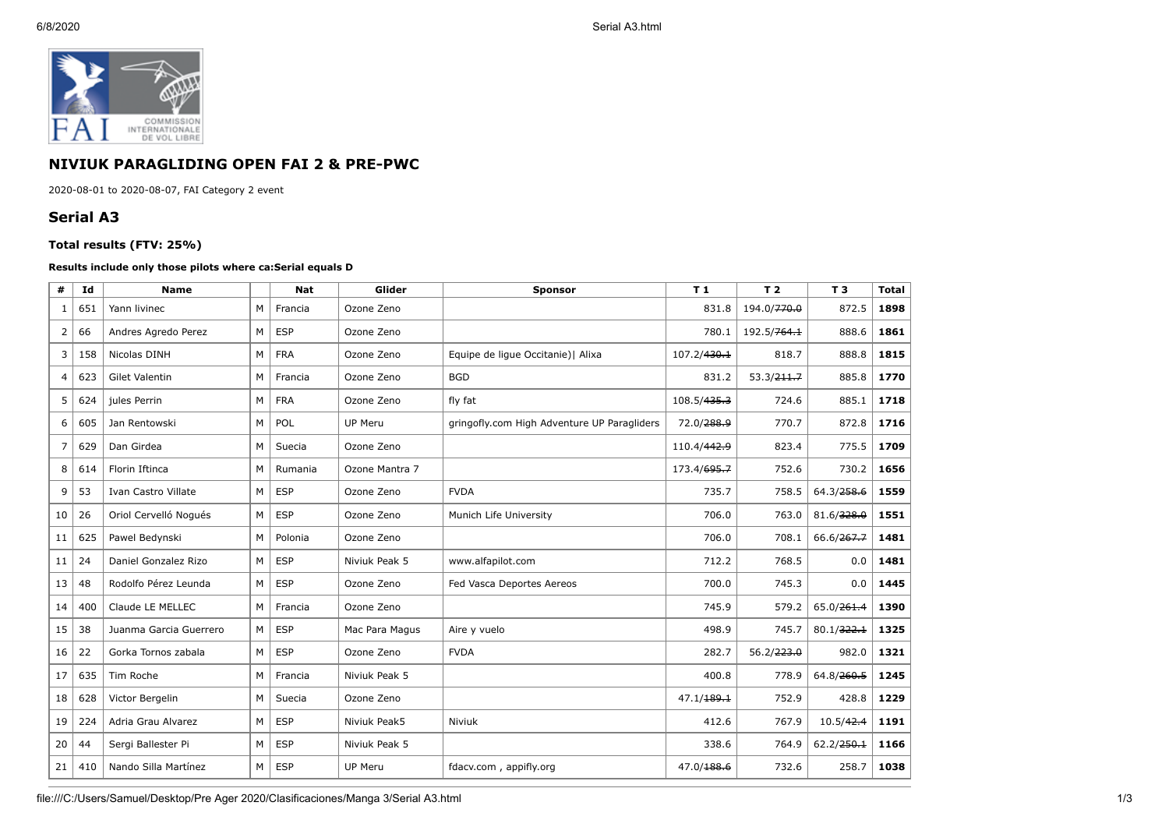

## **NIVIUK PARAGLIDING OPEN FAI 2 & PRE-PWC**

2020-08-01 to 2020-08-07, FAI Category 2 event

## **Serial A3**

## **Total results (FTV: 25%)**

## **Results include only those pilots where ca:Serial equals D**

| #              | Id  | <b>Name</b>            |   | <b>Nat</b> | Glider         | <b>Sponsor</b>                              | T1                      | T <sub>2</sub> | T <sub>3</sub> | <b>Total</b> |
|----------------|-----|------------------------|---|------------|----------------|---------------------------------------------|-------------------------|----------------|----------------|--------------|
| 1              | 651 | Yann livinec           | M | Francia    | Ozone Zeno     | 831.8                                       |                         | 194.0/770.0    | 872.5          | 1898         |
| 2              | 66  | Andres Agredo Perez    | M | <b>ESP</b> | Ozone Zeno     |                                             | 780.1                   | 192.5/764.1    | 888.6          | 1861         |
| 3              | 158 | Nicolas DINH           | M | <b>FRA</b> | Ozone Zeno     | Equipe de ligue Occitanie)   Alixa          | 107.2/ <del>430.1</del> | 818.7          | 888.8          | 1815         |
| $\overline{4}$ | 623 | <b>Gilet Valentin</b>  | M | Francia    | Ozone Zeno     | <b>BGD</b>                                  | 831.2                   | 53.3/211.7     | 885.8          | 1770         |
| 5              | 624 | jules Perrin           | M | <b>FRA</b> | Ozone Zeno     | fly fat                                     | 108.5/ <del>435.3</del> | 724.6          | 885.1          | 1718         |
| 6              | 605 | Jan Rentowski          | M | POL        | <b>UP Meru</b> | gringofly.com High Adventure UP Paragliders | 72.0/288.9              | 770.7          | 872.8          | 1716         |
| $\overline{7}$ | 629 | Dan Girdea             | M | Suecia     | Ozone Zeno     |                                             | 110.4/442.9             | 823.4          | 775.5          | 1709         |
| 8              | 614 | Florin Iftinca         | M | Rumania    | Ozone Mantra 7 |                                             | 173.4/695.7             | 752.6          | 730.2          | 1656         |
| 9              | 53  | Ivan Castro Villate    | M | <b>ESP</b> | Ozone Zeno     | <b>FVDA</b>                                 | 735.7                   | 758.5          | 64.3/258.6     | 1559         |
| 10             | 26  | Oriol Cervelló Nogués  | M | <b>ESP</b> | Ozone Zeno     | Munich Life University                      | 706.0                   | 763.0          | 81.6/328.0     | 1551         |
| 11             | 625 | Pawel Bedvnski         | M | Polonia    | Ozone Zeno     |                                             | 706.0                   | 708.1          | 66.6/267.7     | 1481         |
| 11             | 24  | Daniel Gonzalez Rizo   | M | <b>ESP</b> | Niviuk Peak 5  | www.alfapilot.com                           | 712.2                   | 768.5          | 0.0            | 1481         |
| 13             | 48  | Rodolfo Pérez Leunda   | M | <b>ESP</b> | Ozone Zeno     | Fed Vasca Deportes Aereos                   | 700.0                   | 745.3          | 0.0            | 1445         |
| 14             | 400 | Claude LE MELLEC       | M | Francia    | Ozone Zeno     |                                             | 745.9                   | 579.2          | 65.0/261.4     | 1390         |
| 15             | 38  | Juanma Garcia Guerrero | M | <b>ESP</b> | Mac Para Magus | Aire y vuelo                                | 498.9                   | 745.7          | 80.1/322.1     | 1325         |
| 16             | 22  | Gorka Tornos zabala    | M | <b>ESP</b> | Ozone Zeno     | <b>FVDA</b>                                 | 282.7                   | 56.2/223.0     | 982.0          | 1321         |
| 17             | 635 | Tim Roche              | M | Francia    | Niviuk Peak 5  |                                             | 400.8                   | 778.9          | 64.8/260.5     | 1245         |
| 18             | 628 | Victor Bergelin        | M | Suecia     | Ozone Zeno     |                                             | 47.1/189.1              | 752.9          | 428.8          | 1229         |
| 19             | 224 | Adria Grau Alvarez     | M | <b>ESP</b> | Niviuk Peak5   | Niviuk                                      | 412.6                   | 767.9          | 10.5/42.4      | 1191         |
| 20             | 44  | Sergi Ballester Pi     | M | <b>ESP</b> | Niviuk Peak 5  |                                             | 338.6                   | 764.9          | 62.2/250.1     | 1166         |
| 21             | 410 | Nando Silla Martínez   | M | <b>ESP</b> | <b>UP Meru</b> | fdacv.com, appifly.org                      | 47.0/ <del>188.6</del>  | 732.6          | 258.7          | 1038         |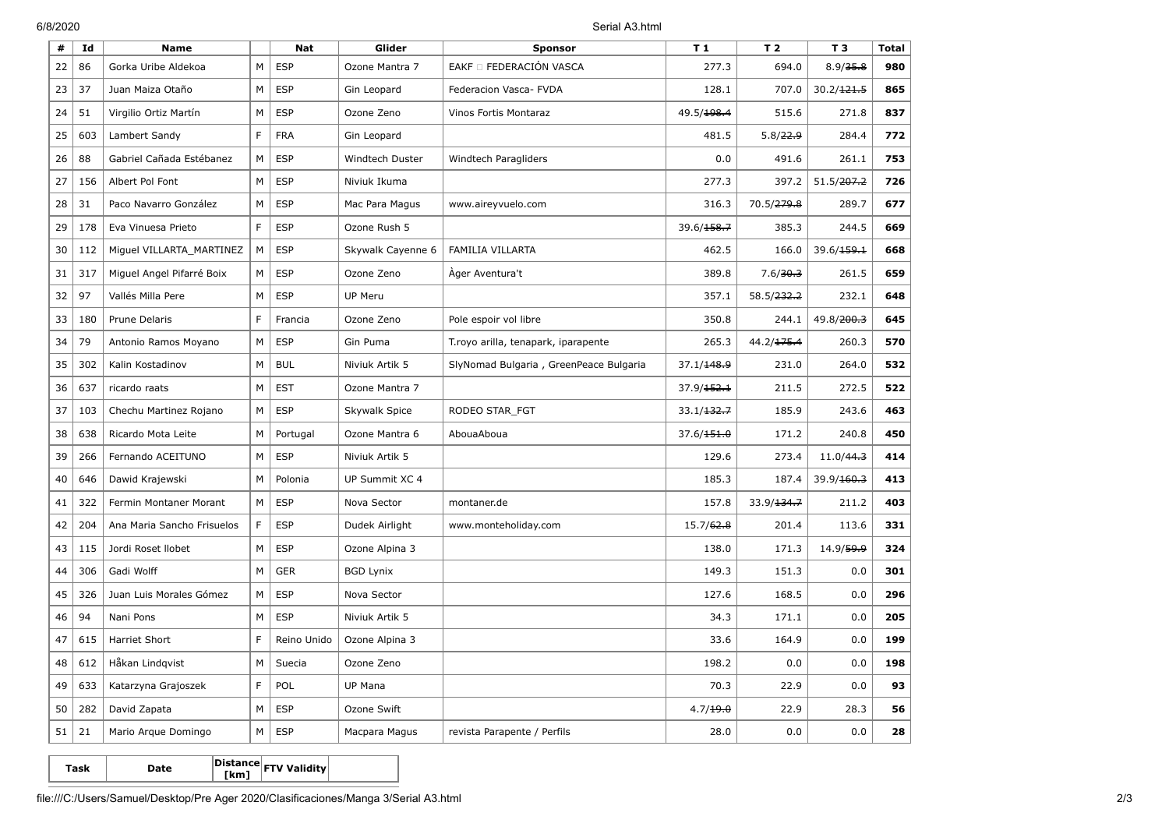6/8/2020 Serial A3.html

| #  | Id  | <b>Name</b>                |   | <b>Nat</b>  | Glider            | <b>Sponsor</b>                         | T <sub>1</sub>         | T <sub>2</sub>         | T <sub>3</sub>         | <b>Total</b> |
|----|-----|----------------------------|---|-------------|-------------------|----------------------------------------|------------------------|------------------------|------------------------|--------------|
| 22 | 86  | Gorka Uribe Aldekoa        | М | <b>ESP</b>  | Ozone Mantra 7    | EAKF O FEDERACIÓN VASCA                | 277.3                  | 694.0                  | 8.9/35.8               | 980          |
| 23 | 37  | Juan Maiza Otaño           | М | <b>ESP</b>  | Gin Leopard       | Federacion Vasca- FVDA                 | 128.1                  | 707.0                  | 30.2 / 121.5           | 865          |
| 24 | 51  | Virgilio Ortiz Martín      | М | <b>ESP</b>  | Ozone Zeno        | Vinos Fortis Montaraz                  | 49.5/198.4             | 515.6                  | 271.8                  | 837          |
| 25 | 603 | Lambert Sandy              | F | <b>FRA</b>  | Gin Leopard       |                                        | 481.5                  | 5.8/22.9               | 284.4                  | 772          |
| 26 | 88  | Gabriel Cañada Estébanez   | М | <b>ESP</b>  | Windtech Duster   | Windtech Paragliders                   | 0.0                    | 491.6                  | 261.1                  | 753          |
| 27 | 156 | Albert Pol Font            | М | <b>ESP</b>  | Niviuk Ikuma      |                                        | 277.3                  | 397.2                  | 51.5/ <del>207.2</del> | 726          |
| 28 | 31  | Paco Navarro González      | М | <b>ESP</b>  | Mac Para Magus    | www.aireyvuelo.com                     | 316.3                  | 70.5/ <del>279.8</del> | 289.7                  | 677          |
| 29 | 178 | Eva Vinuesa Prieto         | F | <b>ESP</b>  | Ozone Rush 5      |                                        | 39.6/158.7             | 385.3                  | 244.5                  | 669          |
| 30 | 112 | Miguel VILLARTA_MARTINEZ   | M | <b>ESP</b>  | Skywalk Cayenne 6 | FAMILIA VILLARTA                       | 462.5                  | 166.0                  | 39.6/ <del>159.1</del> | 668          |
| 31 | 317 | Miquel Angel Pifarré Boix  | М | <b>ESP</b>  | Ozone Zeno        | Ager Aventura't                        | 389.8                  | 7.6/30.3               | 261.5                  | 659          |
| 32 | 97  | Vallés Milla Pere          | М | <b>ESP</b>  | <b>UP Meru</b>    |                                        | 357.1                  | 58.5/ <del>232.2</del> | 232.1                  | 648          |
| 33 | 180 | Prune Delaris              | F | Francia     | Ozone Zeno        | Pole espoir vol libre                  | 350.8                  | 244.1                  | 49.8/ <del>200.3</del> | 645          |
| 34 | 79  | Antonio Ramos Moyano       | M | <b>ESP</b>  | Gin Puma          | T.royo arilla, tenapark, iparapente    | 265.3                  | 44.2/ <del>175.4</del> | 260.3                  | 570          |
| 35 | 302 | Kalin Kostadinov           | M | <b>BUL</b>  | Niviuk Artik 5    | SlyNomad Bulgaria, GreenPeace Bulgaria | 37.1/ <del>148.9</del> | 231.0                  | 264.0                  | 532          |
| 36 | 637 | ricardo raats              | М | <b>EST</b>  | Ozone Mantra 7    |                                        | 37.9 / 152.1           | 211.5                  | 272.5                  | 522          |
| 37 | 103 | Chechu Martinez Rojano     | М | <b>ESP</b>  | Skywalk Spice     | RODEO STAR_FGT                         | 33.1/132.7             | 185.9                  | 243.6                  | 463          |
| 38 | 638 | Ricardo Mota Leite         | М | Portugal    | Ozone Mantra 6    | AbouaAboua                             | 37.6/151.0             | 171.2                  | 240.8                  | 450          |
| 39 | 266 | Fernando ACEITUNO          | М | <b>ESP</b>  | Niviuk Artik 5    |                                        | 129.6                  | 273.4                  | 11.0/44.3              | 414          |
| 40 | 646 | Dawid Krajewski            | M | Polonia     | UP Summit XC 4    |                                        | 185.3                  | 187.4                  | 39.9/ <del>160.3</del> | 413          |
| 41 | 322 | Fermin Montaner Morant     | M | <b>ESP</b>  | Nova Sector       | montaner.de                            | 157.8                  | 33.9/134.7             | 211.2                  | 403          |
| 42 | 204 | Ana Maria Sancho Frisuelos | F | <b>ESP</b>  | Dudek Airlight    | www.monteholiday.com                   | 15.7/62.8              | 201.4                  | 113.6                  | 331          |
| 43 | 115 | Jordi Roset Ilobet         | M | <b>ESP</b>  | Ozone Alpina 3    |                                        | 138.0                  | 171.3                  | 14.9/59.9              | 324          |
| 44 | 306 | Gadi Wolff                 | M | <b>GER</b>  | <b>BGD Lynix</b>  |                                        | 149.3                  | 151.3                  | 0.0                    | 301          |
| 45 | 326 | Juan Luis Morales Gómez    | М | <b>ESP</b>  | Nova Sector       |                                        | 127.6                  | 168.5                  | 0.0                    | 296          |
| 46 | 94  | Nani Pons                  | М | <b>ESP</b>  | Niviuk Artik 5    |                                        | 34.3                   | 171.1                  | 0.0                    | 205          |
| 47 | 615 | <b>Harriet Short</b>       | F | Reino Unido | Ozone Alpina 3    |                                        | 33.6                   | 164.9                  | 0.0                    | 199          |
| 48 | 612 | Håkan Lindqvist            | М | Suecia      | Ozone Zeno        |                                        | 198.2                  | 0.0                    | 0.0                    | 198          |
| 49 | 633 | Katarzyna Grajoszek        | F | POL         | UP Mana           |                                        | 70.3                   | 22.9                   | 0.0                    | 93           |
| 50 | 282 | David Zapata               | М | <b>ESP</b>  | Ozone Swift       |                                        | 4.7/19.0               | 22.9                   | 28.3                   | 56           |
| 51 | 21  | Mario Arque Domingo        | M | <b>ESP</b>  | Macpara Magus     | revista Parapente / Perfils            | 28.0                   | 0.0                    | 0.0                    | 28           |

**Task Date Distance [km] FTV Validity**